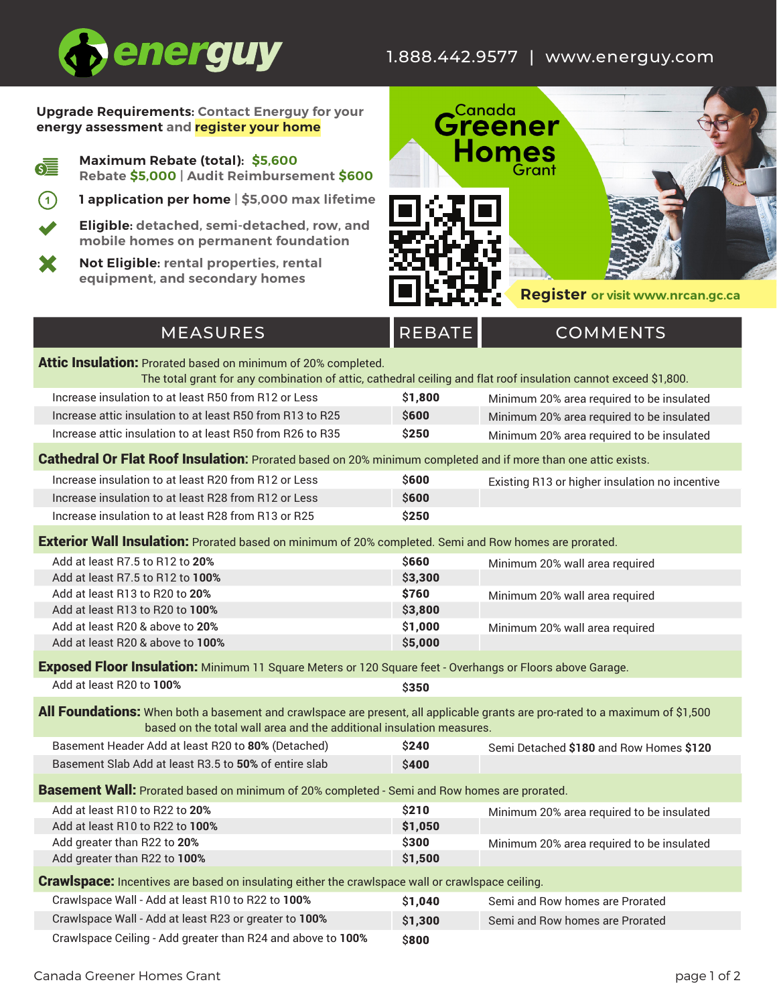## 1.888.442.9577 | www.energuy.com



### **Upgrade Requirements: Contact Energuy for your energy assessment and register your home**

- **Maximum Rebate (total): \$5,600 Rebate \$5,000 | Audit Reimbursement \$600**
- $(1)$ **1 application per home | \$5,000 max lifetime**

**Eligible: detached, semi-detached, row, and mobile homes on permanent foundation**

**Not Eligible: rental properties, rental**  X **equipment, and secondary homes**



# MEASURES REBATE COMMENTS Attic Insulation: Prorated based on minimum of 20% completed.

The total grant for any combination of attic, cathedral ceiling and flat roof insulation cannot exceed \$1,800.

| Increase insulation to at least R50 from R12 or Less      | \$1,800      | Minimum 20% area required to be insulated |
|-----------------------------------------------------------|--------------|-------------------------------------------|
| Increase attic insulation to at least R50 from R13 to R25 | <b>\$600</b> | Minimum 20% area required to be insulated |
| Increase attic insulation to at least R50 from R26 to R35 | \$250        | Minimum 20% area required to be insulated |

### Cathedral Or Flat Roof Insulation**:** Prorated based on 20% minimum completed and if more than one attic exists.

| Increase insulation to at least R20 from R12 or Less | <b>S600</b> | Existing R13 or higher insulation no incentive |
|------------------------------------------------------|-------------|------------------------------------------------|
| Increase insulation to at least R28 from R12 or Less | \$600       |                                                |
| Increase insulation to at least R28 from R13 or R25  | \$250       |                                                |

Exterior Wall Insulation: Prorated based on minimum of 20% completed. Semi and Row homes are prorated.

| Add at least R7.5 to R12 to 20%  | <b>\$660</b> | Minimum 20% wall area required |
|----------------------------------|--------------|--------------------------------|
| Add at least R7.5 to R12 to 100% | \$3,300      |                                |
| Add at least R13 to R20 to 20%   | \$760        | Minimum 20% wall area required |
| Add at least R13 to R20 to 100%  | \$3,800      |                                |
| Add at least R20 & above to 20%  | \$1,000      | Minimum 20% wall area required |
| Add at least R20 & above to 100% | \$5,000      |                                |
|                                  |              |                                |

#### **Exposed Floor Insulation:** Minimum 11 Square Meters or 120 Square feet - Overhangs or Floors above Garage.

Add at least R20 to **100% \$350** 

| All Foundations: When both a basement and crawlspace are present, all applicable grants are pro-rated to a maximum of \$1,500 |       |                                         |  |
|-------------------------------------------------------------------------------------------------------------------------------|-------|-----------------------------------------|--|
| based on the total wall area and the additional insulation measures.                                                          |       |                                         |  |
| Basement Header Add at least B20 to 80% (Detached)                                                                            | \$240 | Sami Datashed \$180 and Row Homes \$120 |  |

| Basement Header Add at least R20 to <b>80</b> % (Detached) | 524U         | Semi Detached \$180 and Row Homes \$120 |
|------------------------------------------------------------|--------------|-----------------------------------------|
| Basement Slab Add at least R3.5 to 50% of entire slab      | <b>\$400</b> |                                         |
|                                                            |              |                                         |

**Basement Wall:** Prorated based on minimum of 20% completed - Semi and Row homes are prorated.

| Add at least R10 to R22 to 20%                                                                          | \$210   | Minimum 20% area required to be insulated |  |
|---------------------------------------------------------------------------------------------------------|---------|-------------------------------------------|--|
| Add at least R10 to R22 to 100%                                                                         | \$1,050 |                                           |  |
| Add greater than R22 to 20%                                                                             | \$300   | Minimum 20% area required to be insulated |  |
| Add greater than R22 to 100%                                                                            | \$1,500 |                                           |  |
| <b>Crawlspace:</b> Incentives are based on insulating either the crawlspace wall or crawlspace ceiling. |         |                                           |  |
| Crawlspace Wall - Add at least R10 to R22 to 100%                                                       | \$1,040 | Semi and Row homes are Prorated           |  |
| Crawlspace Wall - Add at least R23 or greater to 100%                                                   | \$1,300 | Semi and Row homes are Prorated           |  |
|                                                                                                         |         |                                           |  |

Crawlspace Ceiling - Add greater than R24 and above to 100% \$800